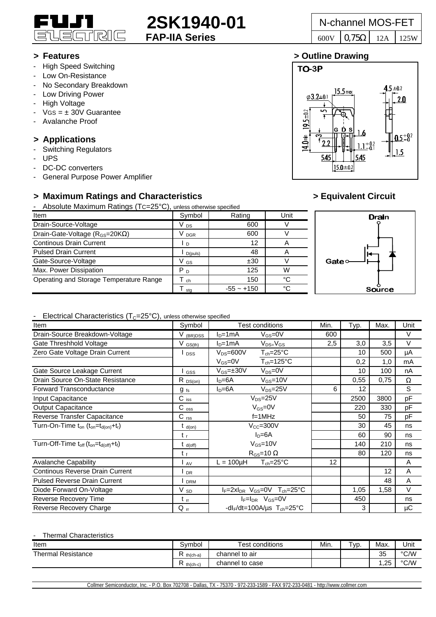

### **> Features > Outline Drawing**

- High Speed Switching
- Low On-Resistance
- No Secondary Breakdown
- Low Driving Power
- High Voltage
- $VGS = \pm 30V$  Guarantee
- Avalanche Proof

## **> Applications**

- Switching Regulators
- UPS
- DC-DC converters
- General Purpose Power Amplifier

# **> Maximum Ratings and Characteristics > Equivalent Circuit**

- Absolute Maximum Ratings (TC=25°C), unless otherwise specified

| Item                                          | Symbol          | Rating       | Unit |   |
|-----------------------------------------------|-----------------|--------------|------|---|
| Drain-Source-Voltage                          | V <sub>DS</sub> | 600          |      |   |
| Drain-Gate-Voltage ( $R_{GS}$ =20K $\Omega$ ) | <b>DGR</b>      | 600          |      |   |
| <b>Continous Drain Current</b>                | D.              | 12           | A    |   |
| <b>Pulsed Drain Current</b>                   | D(puls)         | 48           | A    |   |
| Gate-Source-Voltage                           | V GS            | ±30          |      | С |
| Max. Power Dissipation                        | P <sub>D</sub>  | 125          | W    |   |
| Operating and Storage Temperature Range       | ch              | 150          | °∩   |   |
|                                               | sta             | $-55 - +150$ | °C   |   |





### - Flectrical Characteristics  $(T<sub>C</sub>=25<sup>o</sup>C)$ , unless otherwise specified

| $\sim$ . $\sim$ . $\sim$ . $\sim$ . $\sim$ . $\sim$ . $\sim$ . $\sim$ . $\sim$ . $\sim$ . $\sim$ . $\sim$ . $\sim$ . $\sim$ . $\sim$ . $\sim$ . $\sim$ . $\sim$ . $\sim$ . $\sim$ . $\sim$ . $\sim$ . $\sim$ . $\sim$ . $\sim$ . $\sim$ . $\sim$ . $\sim$ . $\sim$ . $\sim$ . $\sim$ . $\sim$<br>Item | Symbol               | <b>Test conditions</b>                                | Min. | Typ. | Max. | Unit   |
|-------------------------------------------------------------------------------------------------------------------------------------------------------------------------------------------------------------------------------------------------------------------------------------------------------|----------------------|-------------------------------------------------------|------|------|------|--------|
| Drain-Source Breakdown-Voltage                                                                                                                                                                                                                                                                        | V <sub>(BR)DSS</sub> | $V_{GS} = 0V$<br>$ln=1mA$                             | 600  |      |      | V      |
| Gate Threshhold Voltage                                                                                                                                                                                                                                                                               | $V$ $GS(th)$         | $ID=1mA$<br>$V_{DS=}V_{GS}$                           | 2,5  | 3,0  | 3,5  | $\vee$ |
| Zero Gate Voltage Drain Current                                                                                                                                                                                                                                                                       | <b>DSS</b>           | $T_{ch} = 25^{\circ}C$<br>$V_{DS} = 600V$             |      | 10   | 500  | μA     |
|                                                                                                                                                                                                                                                                                                       |                      | $V_{GS}=0V$<br>$T_{ch} = 125$ °C                      |      | 0,2  | 1,0  | mA     |
| Gate Source Leakage Current                                                                                                                                                                                                                                                                           | GSS                  | $V_{DS} = 0V$<br>$V_{GS} = \pm 30V$                   |      | 10   | 100  | nA     |
| Drain Source On-State Resistance                                                                                                                                                                                                                                                                      | $R_{DS(on)}$         | $I_D = 6A$<br>$V_{GS}$ =10V                           |      | 0,55 | 0,75 | Ω      |
| Forward Transconductance                                                                                                                                                                                                                                                                              | $g_{fs}$             | $V_{DS} = 25V$<br>$I_D = 6A$                          | 6    | 12   |      | S      |
| Input Capacitance                                                                                                                                                                                                                                                                                     | $C$ iss              | $V_{DS}=25V$                                          |      | 2500 | 3800 | pF     |
| <b>Output Capacitance</b>                                                                                                                                                                                                                                                                             | $C_{\rm oss}$        | $V_{GS}=0V$                                           |      | 220  | 330  | pF     |
| Reverse Transfer Capacitance                                                                                                                                                                                                                                                                          | $C$ <sub>rss</sub>   | $f=1$ MHz                                             |      | 50   | 75   | pF     |
| Turn-On-Time $t_{on}$ ( $t_{on} = t_{d(on)} + t_r$ )                                                                                                                                                                                                                                                  | $t_{d(on)}$          | $V_{CC} = 300V$                                       |      | 30   | 45   | ns     |
|                                                                                                                                                                                                                                                                                                       | $t_{r}$              | $ID=6A$                                               |      | 60   | 90   | ns     |
| Turn-Off-Time t <sub>off</sub> (t <sub>on</sub> =t <sub>d(off)</sub> +t <sub>f</sub> )                                                                                                                                                                                                                | t <sub>d(off)</sub>  | $V_{GS}$ =10V                                         |      | 140  | 210  | ns     |
|                                                                                                                                                                                                                                                                                                       | $t_f$                | $R_{GS}$ =10 $\Omega$                                 |      | 80   | 120  | ns     |
| <b>Avalanche Capability</b>                                                                                                                                                                                                                                                                           | AV                   | $T_{ch} = 25^{\circ}C$<br>$L = 100 \mu H$             | 12   |      |      | A      |
| Continous Reverse Drain Current                                                                                                                                                                                                                                                                       | <b>DR</b>            |                                                       |      |      | 12   | A      |
| <b>Pulsed Reverse Drain Current</b>                                                                                                                                                                                                                                                                   | <b>DRM</b>           |                                                       |      |      | 48   | A      |
| Diode Forward On-Voltage                                                                                                                                                                                                                                                                              | $V_{SD}$             | $I_F = 2xI_{DR}$ V <sub>GS</sub> =0V $T_{ch} = 25$ °C |      | 1,05 | 1,58 | $\vee$ |
| Reverse Recovery Time                                                                                                                                                                                                                                                                                 | $t_{\rm rr}$         | $I_F = I_{DR}$ $V_{GS} = 0V$                          |      | 450  |      | ns     |
| Reverse Recovery Charge                                                                                                                                                                                                                                                                               | $Q_{rr}$             | -dl <sub>F</sub> /dt=100A/us $T_{ch}$ =25°C           |      | 3    |      | μC     |

### Thermal Characteristics

| Item                      | Symbol        | <b>Test conditions</b> | Min. | T <sub>VD</sub> | Max.               | Unit |
|---------------------------|---------------|------------------------|------|-----------------|--------------------|------|
| <b>Thermal Resistance</b> | $th(ch-a)$    | channel to air         |      |                 | つに<br>ບບ           | °C/W |
|                           | D<br>th(ch-c) | channel to case        |      |                 | つら<br>. <u>.</u> v | °C/W |